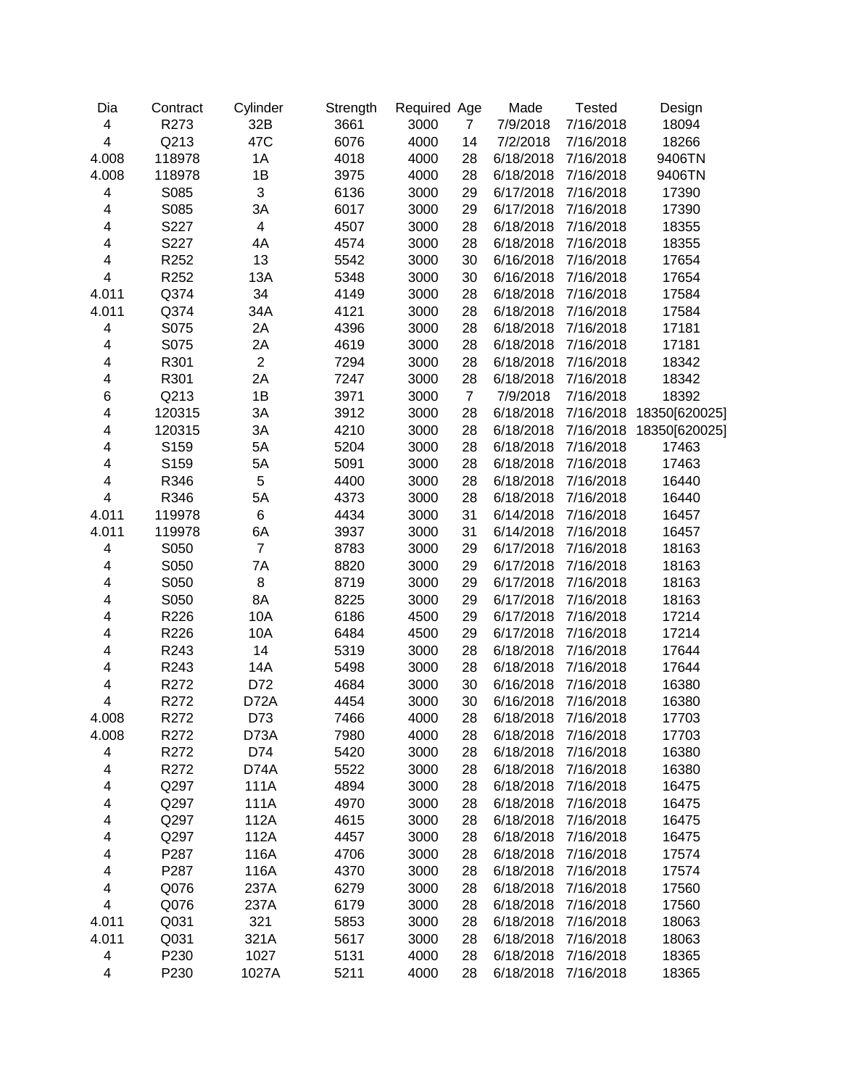| Dia                     | Contract | Cylinder                 | Strength | Required Age |                | Made      | <b>Tested</b> | Design        |
|-------------------------|----------|--------------------------|----------|--------------|----------------|-----------|---------------|---------------|
| 4                       | R273     | 32B                      | 3661     | 3000         | $\overline{7}$ | 7/9/2018  | 7/16/2018     | 18094         |
| $\overline{\mathbf{4}}$ | Q213     | 47C                      | 6076     | 4000         | 14             | 7/2/2018  | 7/16/2018     | 18266         |
| 4.008                   | 118978   | 1A                       | 4018     | 4000         | 28             | 6/18/2018 | 7/16/2018     | 9406TN        |
| 4.008                   | 118978   | 1B                       | 3975     | 4000         | 28             | 6/18/2018 | 7/16/2018     | 9406TN        |
| 4                       | S085     | $\mathsf 3$              | 6136     | 3000         | 29             | 6/17/2018 | 7/16/2018     | 17390         |
| 4                       | S085     | 3A                       | 6017     | 3000         | 29             | 6/17/2018 | 7/16/2018     | 17390         |
| 4                       | S227     | $\overline{\mathcal{A}}$ | 4507     | 3000         | 28             | 6/18/2018 | 7/16/2018     | 18355         |
| 4                       | S227     | 4A                       | 4574     | 3000         | 28             | 6/18/2018 | 7/16/2018     | 18355         |
| 4                       | R252     | 13                       | 5542     | 3000         | 30             | 6/16/2018 | 7/16/2018     | 17654         |
| $\overline{\mathbf{4}}$ | R252     | 13A                      | 5348     | 3000         | 30             | 6/16/2018 | 7/16/2018     | 17654         |
| 4.011                   | Q374     | 34                       | 4149     | 3000         | 28             | 6/18/2018 | 7/16/2018     | 17584         |
| 4.011                   | Q374     | 34A                      | 4121     | 3000         | 28             | 6/18/2018 | 7/16/2018     | 17584         |
| 4                       | S075     | 2A                       | 4396     | 3000         | 28             | 6/18/2018 | 7/16/2018     | 17181         |
| 4                       | S075     | 2A                       | 4619     | 3000         | 28             | 6/18/2018 | 7/16/2018     | 17181         |
| 4                       | R301     | $\overline{2}$           | 7294     | 3000         | 28             | 6/18/2018 | 7/16/2018     | 18342         |
| 4                       | R301     | 2A                       | 7247     | 3000         | 28             | 6/18/2018 | 7/16/2018     | 18342         |
| 6                       | Q213     | 1B                       | 3971     | 3000         | $\overline{7}$ | 7/9/2018  | 7/16/2018     | 18392         |
| 4                       | 120315   | 3A                       | 3912     | 3000         | 28             | 6/18/2018 | 7/16/2018     | 18350[620025] |
| 4                       | 120315   | 3A                       | 4210     | 3000         | 28             | 6/18/2018 | 7/16/2018     | 18350[620025] |
| 4                       | S159     | 5A                       | 5204     | 3000         | 28             | 6/18/2018 | 7/16/2018     | 17463         |
| 4                       | S159     | 5A                       | 5091     | 3000         | 28             | 6/18/2018 | 7/16/2018     | 17463         |
| 4                       | R346     | 5                        | 4400     | 3000         | 28             | 6/18/2018 | 7/16/2018     | 16440         |
| $\overline{\mathbf{4}}$ | R346     | 5A                       | 4373     | 3000         | 28             | 6/18/2018 | 7/16/2018     | 16440         |
| 4.011                   | 119978   | 6                        | 4434     | 3000         | 31             | 6/14/2018 | 7/16/2018     | 16457         |
| 4.011                   | 119978   | 6A                       | 3937     | 3000         | 31             | 6/14/2018 | 7/16/2018     | 16457         |
| 4                       | S050     | $\overline{7}$           | 8783     | 3000         | 29             | 6/17/2018 | 7/16/2018     | 18163         |
| 4                       | S050     | 7A                       | 8820     | 3000         | 29             | 6/17/2018 | 7/16/2018     | 18163         |
| 4                       | S050     | 8                        | 8719     | 3000         | 29             | 6/17/2018 | 7/16/2018     | 18163         |
| 4                       | S050     | 8A                       | 8225     | 3000         | 29             | 6/17/2018 | 7/16/2018     | 18163         |
| 4                       | R226     | 10A                      | 6186     | 4500         | 29             | 6/17/2018 | 7/16/2018     | 17214         |
| 4                       | R226     | 10A                      | 6484     | 4500         | 29             | 6/17/2018 | 7/16/2018     | 17214         |
| 4                       | R243     | 14                       | 5319     | 3000         | 28             | 6/18/2018 | 7/16/2018     | 17644         |
| $\overline{\mathbf{4}}$ | R243     | 14A                      | 5498     | 3000         | 28             | 6/18/2018 | 7/16/2018     | 17644         |
| $\overline{\mathbf{4}}$ | R272     | D72                      | 4684     | 3000         | 30             | 6/16/2018 | 7/16/2018     | 16380         |
| $\overline{\mathbf{4}}$ | R272     | D72A                     | 4454     | 3000         | 30             | 6/16/2018 | 7/16/2018     | 16380         |
| 4.008                   | R272     | D73                      | 7466     | 4000         | 28             | 6/18/2018 | 7/16/2018     | 17703         |
| 4.008                   | R272     | D73A                     | 7980     | 4000         | 28             | 6/18/2018 | 7/16/2018     | 17703         |
| 4                       | R272     | D74                      | 5420     | 3000         | 28             | 6/18/2018 | 7/16/2018     | 16380         |
| 4                       | R272     | D74A                     | 5522     | 3000         | 28             | 6/18/2018 | 7/16/2018     | 16380         |
| 4                       | Q297     | 111A                     | 4894     | 3000         | 28             | 6/18/2018 | 7/16/2018     | 16475         |
| 4                       | Q297     | 111A                     | 4970     | 3000         | 28             | 6/18/2018 | 7/16/2018     | 16475         |
| 4                       | Q297     | 112A                     | 4615     | 3000         | 28             | 6/18/2018 | 7/16/2018     | 16475         |
| 4                       | Q297     | 112A                     | 4457     | 3000         | 28             | 6/18/2018 | 7/16/2018     | 16475         |
| 4                       | P287     | 116A                     | 4706     | 3000         | 28             | 6/18/2018 | 7/16/2018     | 17574         |
| 4                       | P287     | 116A                     | 4370     | 3000         | 28             | 6/18/2018 | 7/16/2018     | 17574         |
| 4                       | Q076     | 237A                     | 6279     | 3000         | 28             | 6/18/2018 | 7/16/2018     | 17560         |
| $\overline{\mathbf{4}}$ | Q076     | 237A                     | 6179     | 3000         | 28             | 6/18/2018 | 7/16/2018     | 17560         |
| 4.011                   | Q031     | 321                      | 5853     | 3000         | 28             | 6/18/2018 | 7/16/2018     | 18063         |
| 4.011                   | Q031     | 321A                     | 5617     | 3000         | 28             | 6/18/2018 | 7/16/2018     | 18063         |
| 4                       | P230     | 1027                     | 5131     | 4000         | 28             | 6/18/2018 | 7/16/2018     | 18365         |
| $\overline{\mathbf{4}}$ | P230     | 1027A                    | 5211     | 4000         | 28             | 6/18/2018 | 7/16/2018     | 18365         |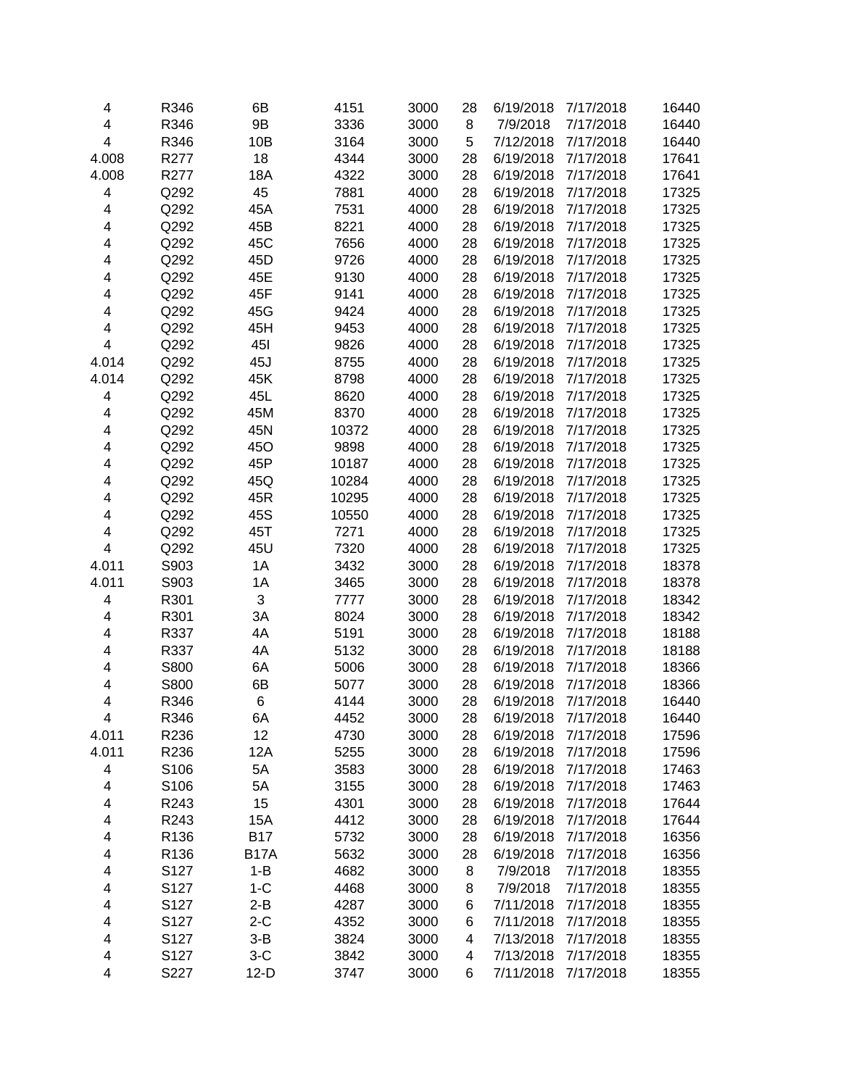| 4     | R346 | 6B          | 4151  | 3000 | 28 | 6/19/2018 | 7/17/2018 | 16440 |
|-------|------|-------------|-------|------|----|-----------|-----------|-------|
| 4     | R346 | 9B          | 3336  | 3000 | 8  | 7/9/2018  | 7/17/2018 | 16440 |
| 4     | R346 | 10B         | 3164  | 3000 | 5  | 7/12/2018 | 7/17/2018 | 16440 |
| 4.008 | R277 | 18          | 4344  | 3000 | 28 | 6/19/2018 | 7/17/2018 | 17641 |
| 4.008 | R277 | 18A         | 4322  | 3000 | 28 | 6/19/2018 | 7/17/2018 | 17641 |
| 4     | Q292 | 45          | 7881  | 4000 | 28 | 6/19/2018 | 7/17/2018 | 17325 |
| 4     | Q292 | 45A         | 7531  | 4000 | 28 | 6/19/2018 | 7/17/2018 | 17325 |
| 4     | Q292 | 45B         | 8221  | 4000 | 28 | 6/19/2018 | 7/17/2018 | 17325 |
| 4     | Q292 | 45C         | 7656  | 4000 | 28 | 6/19/2018 | 7/17/2018 | 17325 |
| 4     | Q292 | 45D         | 9726  | 4000 | 28 | 6/19/2018 | 7/17/2018 | 17325 |
| 4     | Q292 | 45E         | 9130  | 4000 | 28 | 6/19/2018 | 7/17/2018 | 17325 |
| 4     | Q292 | 45F         | 9141  | 4000 | 28 | 6/19/2018 | 7/17/2018 | 17325 |
| 4     | Q292 | 45G         | 9424  | 4000 | 28 | 6/19/2018 | 7/17/2018 | 17325 |
| 4     | Q292 | 45H         | 9453  | 4000 | 28 | 6/19/2018 | 7/17/2018 | 17325 |
| 4     | Q292 | <b>451</b>  | 9826  | 4000 | 28 | 6/19/2018 | 7/17/2018 | 17325 |
| 4.014 | Q292 | 45J         | 8755  | 4000 | 28 | 6/19/2018 | 7/17/2018 | 17325 |
| 4.014 | Q292 | 45K         | 8798  | 4000 | 28 | 6/19/2018 | 7/17/2018 | 17325 |
| 4     | Q292 | 45L         | 8620  | 4000 | 28 | 6/19/2018 | 7/17/2018 | 17325 |
| 4     | Q292 | 45M         | 8370  | 4000 | 28 | 6/19/2018 | 7/17/2018 | 17325 |
| 4     | Q292 | 45N         | 10372 | 4000 | 28 | 6/19/2018 | 7/17/2018 | 17325 |
| 4     | Q292 | 45O         | 9898  | 4000 | 28 | 6/19/2018 | 7/17/2018 | 17325 |
| 4     | Q292 | 45P         | 10187 | 4000 | 28 | 6/19/2018 | 7/17/2018 | 17325 |
| 4     | Q292 | 45Q         | 10284 | 4000 | 28 | 6/19/2018 | 7/17/2018 | 17325 |
| 4     | Q292 | 45R         | 10295 | 4000 | 28 | 6/19/2018 | 7/17/2018 | 17325 |
| 4     | Q292 | 45S         |       | 4000 | 28 | 6/19/2018 | 7/17/2018 | 17325 |
|       |      |             | 10550 |      |    |           | 7/17/2018 |       |
| 4     | Q292 | 45T         | 7271  | 4000 | 28 | 6/19/2018 |           | 17325 |
| 4     | Q292 | 45U         | 7320  | 4000 | 28 | 6/19/2018 | 7/17/2018 | 17325 |
| 4.011 | S903 | 1A          | 3432  | 3000 | 28 | 6/19/2018 | 7/17/2018 | 18378 |
| 4.011 | S903 | 1A          | 3465  | 3000 | 28 | 6/19/2018 | 7/17/2018 | 18378 |
| 4     | R301 | 3           | 7777  | 3000 | 28 | 6/19/2018 | 7/17/2018 | 18342 |
| 4     | R301 | 3A          | 8024  | 3000 | 28 | 6/19/2018 | 7/17/2018 | 18342 |
| 4     | R337 | 4A          | 5191  | 3000 | 28 | 6/19/2018 | 7/17/2018 | 18188 |
| 4     | R337 | 4A          | 5132  | 3000 | 28 | 6/19/2018 | 7/17/2018 | 18188 |
| 4     | S800 | 6A          | 5006  | 3000 | 28 | 6/19/2018 | 7/17/2018 | 18366 |
| 4     | S800 | 6B          | 5077  | 3000 | 28 | 6/19/2018 | 7/17/2018 | 18366 |
| 4     | R346 | 6           | 4144  | 3000 | 28 | 6/19/2018 | 7/17/2018 | 16440 |
| 4     | R346 | 6A          | 4452  | 3000 | 28 | 6/19/2018 | 7/17/2018 | 16440 |
| 4.011 | R236 | 12          | 4730  | 3000 | 28 | 6/19/2018 | 7/17/2018 | 17596 |
| 4.011 | R236 | 12A         | 5255  | 3000 | 28 | 6/19/2018 | 7/17/2018 | 17596 |
| 4     | S106 | 5A          | 3583  | 3000 | 28 | 6/19/2018 | 7/17/2018 | 17463 |
| 4     | S106 | 5A          | 3155  | 3000 | 28 | 6/19/2018 | 7/17/2018 | 17463 |
| 4     | R243 | 15          | 4301  | 3000 | 28 | 6/19/2018 | 7/17/2018 | 17644 |
| 4     | R243 | 15A         | 4412  | 3000 | 28 | 6/19/2018 | 7/17/2018 | 17644 |
| 4     | R136 | <b>B17</b>  | 5732  | 3000 | 28 | 6/19/2018 | 7/17/2018 | 16356 |
| 4     | R136 | <b>B17A</b> | 5632  | 3000 | 28 | 6/19/2018 | 7/17/2018 | 16356 |
| 4     | S127 | $1 - B$     | 4682  | 3000 | 8  | 7/9/2018  | 7/17/2018 | 18355 |
| 4     | S127 | $1-C$       | 4468  | 3000 | 8  | 7/9/2018  | 7/17/2018 | 18355 |
| 4     | S127 | $2 - B$     | 4287  | 3000 | 6  | 7/11/2018 | 7/17/2018 | 18355 |
| 4     | S127 | $2-C$       | 4352  | 3000 | 6  | 7/11/2018 | 7/17/2018 | 18355 |
| 4     | S127 | $3 - B$     | 3824  | 3000 | 4  | 7/13/2018 | 7/17/2018 | 18355 |
| 4     | S127 | $3-C$       | 3842  | 3000 | 4  | 7/13/2018 | 7/17/2018 | 18355 |
| 4     | S227 | $12-D$      | 3747  | 3000 | 6  | 7/11/2018 | 7/17/2018 | 18355 |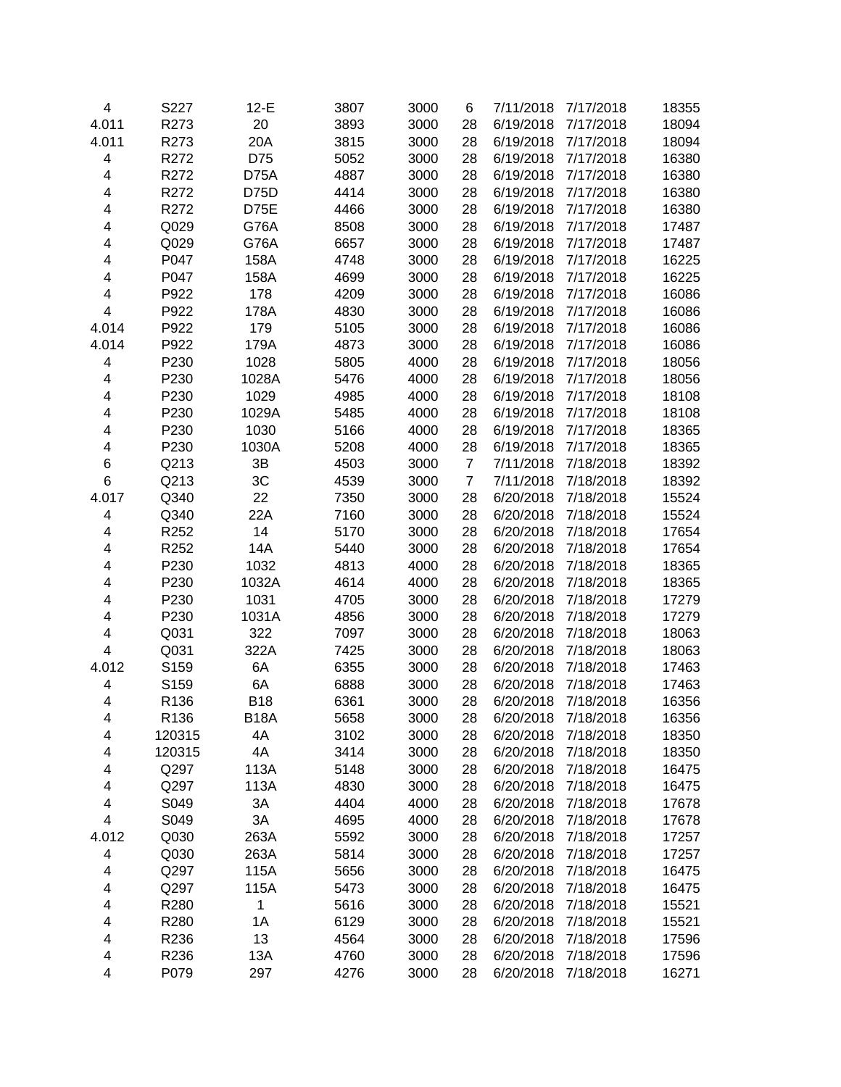| 4     | S227             | $12-E$      | 3807 | 3000 | 6              | 7/11/2018 | 7/17/2018 | 18355 |
|-------|------------------|-------------|------|------|----------------|-----------|-----------|-------|
| 4.011 | R273             | 20          | 3893 | 3000 | 28             | 6/19/2018 | 7/17/2018 | 18094 |
| 4.011 | R273             | 20A         | 3815 | 3000 | 28             | 6/19/2018 | 7/17/2018 | 18094 |
| 4     | R272             | D75         | 5052 | 3000 | 28             | 6/19/2018 | 7/17/2018 | 16380 |
| 4     | R272             | D75A        | 4887 | 3000 | 28             | 6/19/2018 | 7/17/2018 | 16380 |
| 4     | R272             | <b>D75D</b> | 4414 | 3000 | 28             | 6/19/2018 | 7/17/2018 | 16380 |
| 4     | R272             | D75E        | 4466 | 3000 | 28             | 6/19/2018 | 7/17/2018 | 16380 |
| 4     | Q029             | G76A        | 8508 | 3000 | 28             | 6/19/2018 | 7/17/2018 | 17487 |
| 4     | Q029             | G76A        | 6657 | 3000 | 28             | 6/19/2018 | 7/17/2018 | 17487 |
| 4     | P047             | 158A        | 4748 | 3000 | 28             | 6/19/2018 | 7/17/2018 | 16225 |
| 4     | P047             | 158A        | 4699 | 3000 | 28             | 6/19/2018 | 7/17/2018 | 16225 |
| 4     | P922             | 178         | 4209 | 3000 | 28             | 6/19/2018 | 7/17/2018 | 16086 |
| 4     | P922             | 178A        | 4830 | 3000 | 28             | 6/19/2018 | 7/17/2018 | 16086 |
| 4.014 | P922             | 179         | 5105 | 3000 | 28             | 6/19/2018 | 7/17/2018 | 16086 |
| 4.014 | P922             | 179A        | 4873 | 3000 | 28             | 6/19/2018 | 7/17/2018 | 16086 |
| 4     | P230             | 1028        | 5805 | 4000 | 28             | 6/19/2018 | 7/17/2018 | 18056 |
| 4     | P230             | 1028A       | 5476 | 4000 | 28             | 6/19/2018 | 7/17/2018 | 18056 |
| 4     | P230             | 1029        | 4985 | 4000 | 28             | 6/19/2018 | 7/17/2018 | 18108 |
| 4     | P230             | 1029A       | 5485 | 4000 | 28             | 6/19/2018 | 7/17/2018 | 18108 |
| 4     | P230             | 1030        | 5166 | 4000 | 28             | 6/19/2018 | 7/17/2018 | 18365 |
| 4     | P230             | 1030A       | 5208 | 4000 | 28             | 6/19/2018 | 7/17/2018 | 18365 |
| 6     | Q213             | 3B          | 4503 | 3000 | $\overline{7}$ | 7/11/2018 | 7/18/2018 | 18392 |
| 6     | Q213             | 3C          | 4539 | 3000 | $\overline{7}$ | 7/11/2018 | 7/18/2018 | 18392 |
| 4.017 | Q340             | 22          | 7350 | 3000 | 28             | 6/20/2018 | 7/18/2018 | 15524 |
| 4     | Q340             | 22A         | 7160 | 3000 | 28             | 6/20/2018 | 7/18/2018 | 15524 |
| 4     | R252             | 14          | 5170 | 3000 | 28             | 6/20/2018 | 7/18/2018 | 17654 |
| 4     | R252             | 14A         | 5440 | 3000 | 28             | 6/20/2018 | 7/18/2018 | 17654 |
| 4     | P230             | 1032        | 4813 | 4000 | 28             | 6/20/2018 | 7/18/2018 | 18365 |
| 4     | P230             | 1032A       | 4614 | 4000 | 28             | 6/20/2018 | 7/18/2018 | 18365 |
| 4     | P230             | 1031        | 4705 | 3000 | 28             | 6/20/2018 | 7/18/2018 | 17279 |
| 4     | P230             | 1031A       | 4856 | 3000 | 28             | 6/20/2018 | 7/18/2018 | 17279 |
| 4     | Q031             | 322         | 7097 | 3000 | 28             | 6/20/2018 | 7/18/2018 | 18063 |
| 4     | Q031             | 322A        | 7425 | 3000 | 28             | 6/20/2018 | 7/18/2018 | 18063 |
| 4.012 | S159             | 6A          | 6355 | 3000 | 28             | 6/20/2018 | 7/18/2018 | 17463 |
| 4     | S159             | 6A          | 6888 | 3000 | 28             | 6/20/2018 | 7/18/2018 | 17463 |
| 4     | R136             | <b>B18</b>  | 6361 | 3000 | 28             | 6/20/2018 | 7/18/2018 | 16356 |
| 4     | R <sub>136</sub> | <b>B18A</b> | 5658 | 3000 | 28             | 6/20/2018 | 7/18/2018 | 16356 |
| 4     | 120315           | 4A          | 3102 | 3000 | 28             | 6/20/2018 | 7/18/2018 | 18350 |
| 4     | 120315           | 4A          | 3414 | 3000 | 28             | 6/20/2018 | 7/18/2018 | 18350 |
| 4     | Q297             | 113A        | 5148 | 3000 | 28             | 6/20/2018 | 7/18/2018 | 16475 |
| 4     | Q297             | 113A        | 4830 | 3000 | 28             | 6/20/2018 | 7/18/2018 | 16475 |
| 4     | S049             | 3A          | 4404 | 4000 | 28             | 6/20/2018 | 7/18/2018 | 17678 |
| 4     | S049             | 3A          | 4695 | 4000 | 28             | 6/20/2018 | 7/18/2018 | 17678 |
| 4.012 | Q030             | 263A        | 5592 | 3000 | 28             | 6/20/2018 | 7/18/2018 | 17257 |
| 4     | Q030             | 263A        | 5814 | 3000 | 28             | 6/20/2018 | 7/18/2018 | 17257 |
| 4     | Q297             | 115A        | 5656 | 3000 | 28             | 6/20/2018 | 7/18/2018 | 16475 |
| 4     | Q297             | 115A        | 5473 | 3000 | 28             | 6/20/2018 | 7/18/2018 | 16475 |
| 4     | R280             | 1           | 5616 | 3000 | 28             | 6/20/2018 | 7/18/2018 | 15521 |
| 4     | R280             | 1A          | 6129 | 3000 | 28             | 6/20/2018 | 7/18/2018 | 15521 |
| 4     | R236             | 13          | 4564 | 3000 | 28             | 6/20/2018 | 7/18/2018 | 17596 |
| 4     | R236             | 13A         | 4760 | 3000 | 28             | 6/20/2018 | 7/18/2018 | 17596 |
| 4     | P079             | 297         | 4276 | 3000 | 28             | 6/20/2018 | 7/18/2018 | 16271 |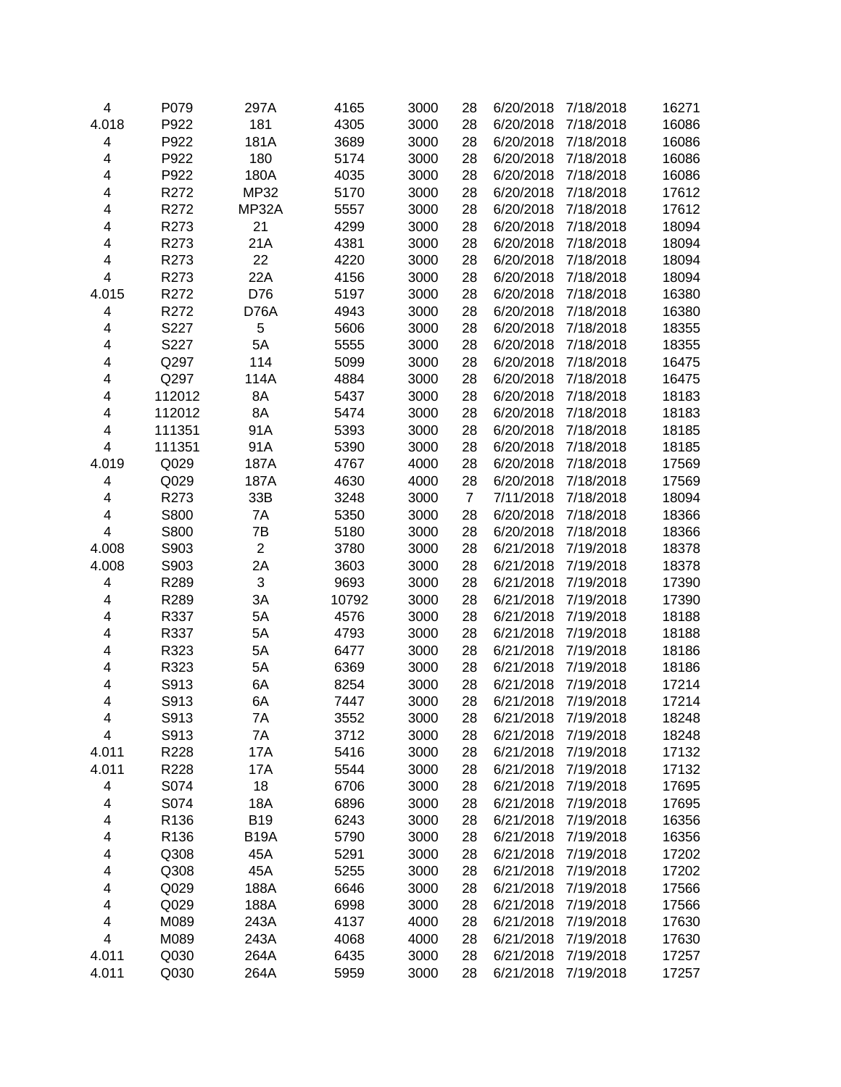| $\overline{\mathbf{4}}$ | P079   | 297A           | 4165  | 3000 | 28             | 6/20/2018 | 7/18/2018 | 16271 |
|-------------------------|--------|----------------|-------|------|----------------|-----------|-----------|-------|
| 4.018                   | P922   | 181            | 4305  | 3000 | 28             | 6/20/2018 | 7/18/2018 | 16086 |
| 4                       | P922   | 181A           | 3689  | 3000 | 28             | 6/20/2018 | 7/18/2018 | 16086 |
| 4                       | P922   | 180            | 5174  | 3000 | 28             | 6/20/2018 | 7/18/2018 | 16086 |
| 4                       | P922   | 180A           | 4035  | 3000 | 28             | 6/20/2018 | 7/18/2018 | 16086 |
| 4                       | R272   | <b>MP32</b>    | 5170  | 3000 | 28             | 6/20/2018 | 7/18/2018 | 17612 |
| 4                       | R272   | <b>MP32A</b>   | 5557  | 3000 | 28             | 6/20/2018 | 7/18/2018 | 17612 |
| 4                       | R273   | 21             | 4299  | 3000 | 28             | 6/20/2018 | 7/18/2018 | 18094 |
| 4                       | R273   | 21A            | 4381  | 3000 | 28             | 6/20/2018 | 7/18/2018 | 18094 |
| 4                       | R273   | 22             | 4220  | 3000 | 28             | 6/20/2018 | 7/18/2018 | 18094 |
| 4                       | R273   | 22A            | 4156  | 3000 | 28             | 6/20/2018 | 7/18/2018 | 18094 |
| 4.015                   | R272   | D76            | 5197  | 3000 | 28             | 6/20/2018 | 7/18/2018 | 16380 |
| 4                       | R272   | D76A           | 4943  | 3000 | 28             | 6/20/2018 | 7/18/2018 | 16380 |
| 4                       | S227   | 5              | 5606  | 3000 | 28             | 6/20/2018 | 7/18/2018 | 18355 |
| 4                       | S227   | 5A             | 5555  | 3000 | 28             | 6/20/2018 | 7/18/2018 | 18355 |
| 4                       | Q297   | 114            | 5099  | 3000 | 28             | 6/20/2018 | 7/18/2018 | 16475 |
| 4                       | Q297   | 114A           | 4884  | 3000 | 28             | 6/20/2018 | 7/18/2018 | 16475 |
| 4                       | 112012 | 8A             | 5437  | 3000 | 28             | 6/20/2018 | 7/18/2018 | 18183 |
| 4                       | 112012 | 8A             | 5474  | 3000 | 28             | 6/20/2018 | 7/18/2018 | 18183 |
| 4                       | 111351 | 91A            | 5393  | 3000 | 28             | 6/20/2018 | 7/18/2018 | 18185 |
| 4                       | 111351 | 91A            | 5390  | 3000 | 28             | 6/20/2018 | 7/18/2018 | 18185 |
| 4.019                   | Q029   | 187A           | 4767  | 4000 | 28             | 6/20/2018 | 7/18/2018 | 17569 |
| 4                       | Q029   | 187A           | 4630  | 4000 | 28             | 6/20/2018 | 7/18/2018 | 17569 |
| 4                       | R273   | 33B            | 3248  | 3000 | $\overline{7}$ | 7/11/2018 | 7/18/2018 | 18094 |
| 4                       | S800   | 7A             | 5350  | 3000 | 28             | 6/20/2018 | 7/18/2018 | 18366 |
| 4                       | S800   | 7B             | 5180  | 3000 | 28             | 6/20/2018 | 7/18/2018 | 18366 |
| 4.008                   | S903   | $\overline{c}$ | 3780  | 3000 | 28             | 6/21/2018 | 7/19/2018 | 18378 |
| 4.008                   | S903   | 2A             | 3603  | 3000 | 28             | 6/21/2018 | 7/19/2018 | 18378 |
| 4                       | R289   | 3              | 9693  | 3000 | 28             | 6/21/2018 | 7/19/2018 | 17390 |
| 4                       | R289   | 3A             | 10792 | 3000 | 28             | 6/21/2018 | 7/19/2018 | 17390 |
| 4                       | R337   | 5A             | 4576  | 3000 | 28             | 6/21/2018 | 7/19/2018 | 18188 |
| 4                       | R337   | 5A             | 4793  | 3000 | 28             | 6/21/2018 | 7/19/2018 | 18188 |
| 4                       | R323   | 5A             | 6477  | 3000 | 28             | 6/21/2018 | 7/19/2018 | 18186 |
| 4                       | R323   | 5A             | 6369  | 3000 | 28             | 6/21/2018 | 7/19/2018 | 18186 |
| 4                       | S913   | 6A             | 8254  | 3000 | 28             | 6/21/2018 | 7/19/2018 | 17214 |
| 4                       | S913   | 6A             | 7447  | 3000 | 28             | 6/21/2018 | 7/19/2018 | 17214 |
| 4                       | S913   | 7Α             | 3552  | 3000 | 28             | 6/21/2018 | 7/19/2018 | 18248 |
| 4                       | S913   | 7A             | 3712  | 3000 | 28             | 6/21/2018 | 7/19/2018 | 18248 |
| 4.011                   | R228   | 17A            | 5416  | 3000 | 28             | 6/21/2018 | 7/19/2018 | 17132 |
| 4.011                   | R228   | 17A            | 5544  | 3000 | 28             | 6/21/2018 | 7/19/2018 | 17132 |
| 4                       | S074   | 18             | 6706  | 3000 | 28             | 6/21/2018 | 7/19/2018 | 17695 |
| 4                       | S074   | 18A            | 6896  | 3000 | 28             | 6/21/2018 | 7/19/2018 | 17695 |
| 4                       | R136   | <b>B19</b>     | 6243  | 3000 | 28             | 6/21/2018 | 7/19/2018 | 16356 |
| 4                       | R136   | <b>B19A</b>    | 5790  | 3000 | 28             | 6/21/2018 | 7/19/2018 | 16356 |
| 4                       | Q308   | 45A            | 5291  | 3000 | 28             | 6/21/2018 | 7/19/2018 | 17202 |
| 4                       | Q308   | 45A            | 5255  | 3000 | 28             | 6/21/2018 | 7/19/2018 | 17202 |
| 4                       | Q029   | 188A           | 6646  | 3000 | 28             | 6/21/2018 | 7/19/2018 | 17566 |
| 4                       | Q029   | 188A           | 6998  | 3000 | 28             | 6/21/2018 | 7/19/2018 | 17566 |
| 4                       | M089   | 243A           | 4137  | 4000 | 28             | 6/21/2018 | 7/19/2018 | 17630 |
| 4                       | M089   | 243A           | 4068  | 4000 | 28             | 6/21/2018 | 7/19/2018 | 17630 |
| 4.011                   | Q030   | 264A           | 6435  | 3000 | 28             | 6/21/2018 | 7/19/2018 | 17257 |
| 4.011                   | Q030   | 264A           | 5959  | 3000 | 28             | 6/21/2018 | 7/19/2018 | 17257 |
|                         |        |                |       |      |                |           |           |       |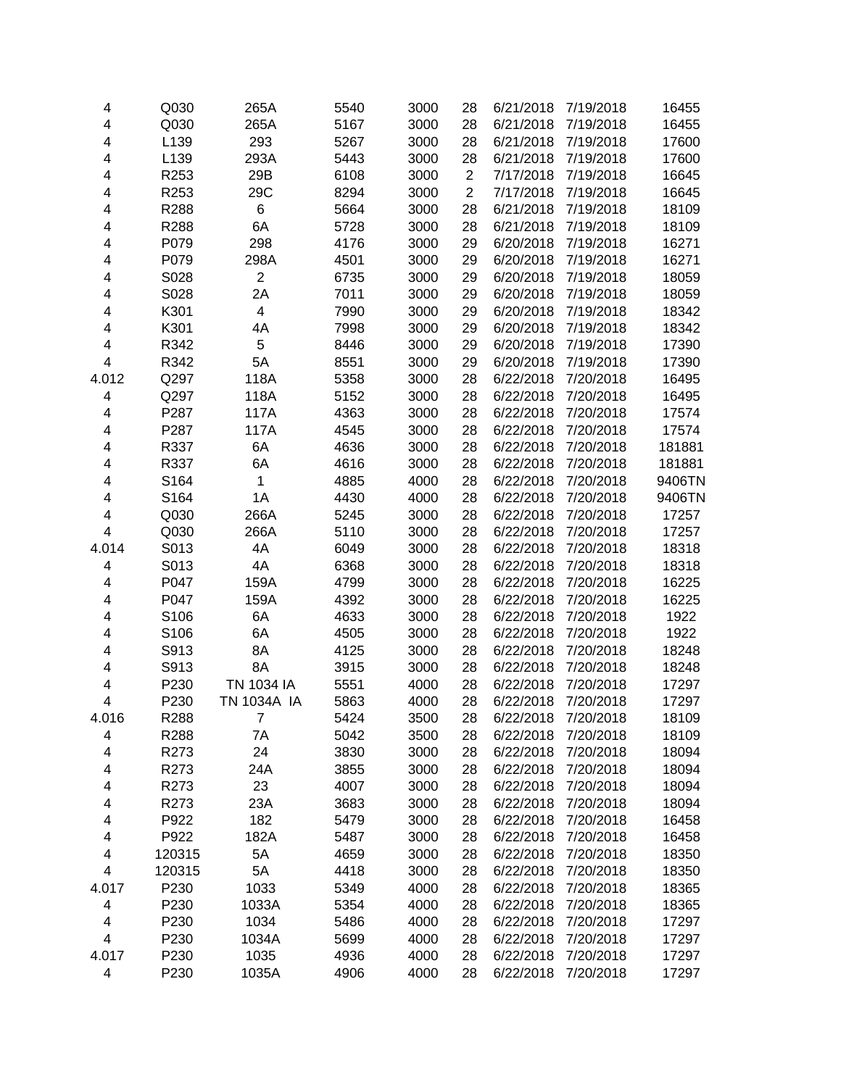| 4                       | Q030   | 265A           | 5540 | 3000 | 28             | 6/21/2018 | 7/19/2018 | 16455  |
|-------------------------|--------|----------------|------|------|----------------|-----------|-----------|--------|
| 4                       | Q030   | 265A           | 5167 | 3000 | 28             | 6/21/2018 | 7/19/2018 | 16455  |
| 4                       | L139   | 293            | 5267 | 3000 | 28             | 6/21/2018 | 7/19/2018 | 17600  |
| 4                       | L139   | 293A           | 5443 | 3000 | 28             | 6/21/2018 | 7/19/2018 | 17600  |
| 4                       | R253   | 29B            | 6108 | 3000 | $\overline{c}$ | 7/17/2018 | 7/19/2018 | 16645  |
| 4                       | R253   | 29C            | 8294 | 3000 | $\overline{2}$ | 7/17/2018 | 7/19/2018 | 16645  |
| 4                       | R288   | 6              | 5664 | 3000 | 28             | 6/21/2018 | 7/19/2018 | 18109  |
| 4                       | R288   | 6A             | 5728 | 3000 | 28             | 6/21/2018 | 7/19/2018 | 18109  |
| 4                       | P079   | 298            | 4176 | 3000 | 29             | 6/20/2018 | 7/19/2018 | 16271  |
| 4                       | P079   | 298A           | 4501 | 3000 | 29             | 6/20/2018 | 7/19/2018 | 16271  |
| 4                       | S028   | $\overline{2}$ | 6735 | 3000 | 29             | 6/20/2018 | 7/19/2018 | 18059  |
| 4                       | S028   | 2A             | 7011 | 3000 | 29             | 6/20/2018 | 7/19/2018 | 18059  |
| 4                       | K301   | 4              | 7990 | 3000 | 29             | 6/20/2018 | 7/19/2018 | 18342  |
| 4                       | K301   | 4A             | 7998 | 3000 | 29             | 6/20/2018 | 7/19/2018 | 18342  |
| 4                       | R342   | 5              | 8446 | 3000 | 29             | 6/20/2018 | 7/19/2018 | 17390  |
| $\overline{\mathbf{4}}$ | R342   | 5A             | 8551 | 3000 | 29             | 6/20/2018 | 7/19/2018 | 17390  |
| 4.012                   | Q297   | 118A           | 5358 | 3000 | 28             | 6/22/2018 | 7/20/2018 | 16495  |
| 4                       | Q297   | 118A           | 5152 | 3000 | 28             | 6/22/2018 | 7/20/2018 | 16495  |
| 4                       | P287   | 117A           | 4363 | 3000 | 28             | 6/22/2018 | 7/20/2018 | 17574  |
| 4                       | P287   | 117A           | 4545 | 3000 | 28             | 6/22/2018 | 7/20/2018 | 17574  |
| 4                       | R337   | 6A             | 4636 | 3000 | 28             | 6/22/2018 | 7/20/2018 | 181881 |
| 4                       | R337   | 6A             | 4616 | 3000 | 28             | 6/22/2018 | 7/20/2018 | 181881 |
| 4                       | S164   | 1              | 4885 | 4000 | 28             | 6/22/2018 | 7/20/2018 | 9406TN |
| 4                       | S164   | 1A             | 4430 | 4000 | 28             | 6/22/2018 | 7/20/2018 | 9406TN |
| 4                       | Q030   | 266A           | 5245 | 3000 | 28             | 6/22/2018 | 7/20/2018 | 17257  |
| $\overline{\mathbf{4}}$ | Q030   | 266A           | 5110 | 3000 | 28             | 6/22/2018 | 7/20/2018 | 17257  |
| 4.014                   | S013   | 4A             | 6049 | 3000 | 28             | 6/22/2018 | 7/20/2018 | 18318  |
| 4                       | S013   | 4A             | 6368 | 3000 | 28             | 6/22/2018 | 7/20/2018 | 18318  |
| 4                       | P047   | 159A           | 4799 | 3000 | 28             | 6/22/2018 | 7/20/2018 | 16225  |
| 4                       | P047   | 159A           | 4392 | 3000 | 28             | 6/22/2018 | 7/20/2018 | 16225  |
| 4                       | S106   | 6A             | 4633 | 3000 | 28             | 6/22/2018 | 7/20/2018 | 1922   |
| 4                       | S106   | 6A             | 4505 | 3000 | 28             | 6/22/2018 | 7/20/2018 | 1922   |
| 4                       | S913   | 8A             | 4125 | 3000 | 28             | 6/22/2018 | 7/20/2018 | 18248  |
| 4                       | S913   | 8A             | 3915 | 3000 | 28             | 6/22/2018 | 7/20/2018 | 18248  |
| 4                       | P230   | TN 1034 IA     | 5551 | 4000 | 28             | 6/22/2018 | 7/20/2018 | 17297  |
| 4                       | P230   | TN 1034A IA    | 5863 | 4000 | 28             | 6/22/2018 | 7/20/2018 | 17297  |
| 4.016                   | R288   | 7              | 5424 | 3500 | 28             | 6/22/2018 | 7/20/2018 | 18109  |
| 4                       | R288   | 7A             | 5042 | 3500 | 28             | 6/22/2018 | 7/20/2018 | 18109  |
| 4                       | R273   | 24             | 3830 | 3000 | 28             | 6/22/2018 | 7/20/2018 | 18094  |
| 4                       | R273   | 24A            | 3855 | 3000 | 28             | 6/22/2018 | 7/20/2018 | 18094  |
| 4                       | R273   | 23             | 4007 | 3000 | 28             | 6/22/2018 | 7/20/2018 | 18094  |
| 4                       | R273   | 23A            | 3683 | 3000 | 28             | 6/22/2018 | 7/20/2018 | 18094  |
| 4                       | P922   | 182            | 5479 | 3000 | 28             | 6/22/2018 | 7/20/2018 | 16458  |
| 4                       | P922   | 182A           | 5487 | 3000 | 28             | 6/22/2018 | 7/20/2018 | 16458  |
| 4                       | 120315 | 5A             | 4659 | 3000 | 28             | 6/22/2018 | 7/20/2018 | 18350  |
| 4                       | 120315 | 5A             | 4418 | 3000 | 28             | 6/22/2018 | 7/20/2018 | 18350  |
| 4.017                   | P230   | 1033           | 5349 | 4000 | 28             | 6/22/2018 | 7/20/2018 | 18365  |
| 4                       | P230   | 1033A          | 5354 | 4000 | 28             | 6/22/2018 | 7/20/2018 | 18365  |
| 4                       | P230   | 1034           | 5486 | 4000 | 28             | 6/22/2018 | 7/20/2018 | 17297  |
| $\overline{\mathbf{4}}$ | P230   | 1034A          | 5699 | 4000 | 28             | 6/22/2018 | 7/20/2018 | 17297  |
| 4.017                   | P230   | 1035           | 4936 | 4000 | 28             | 6/22/2018 | 7/20/2018 | 17297  |
| $\overline{\mathbf{4}}$ | P230   | 1035A          | 4906 | 4000 | 28             | 6/22/2018 | 7/20/2018 | 17297  |